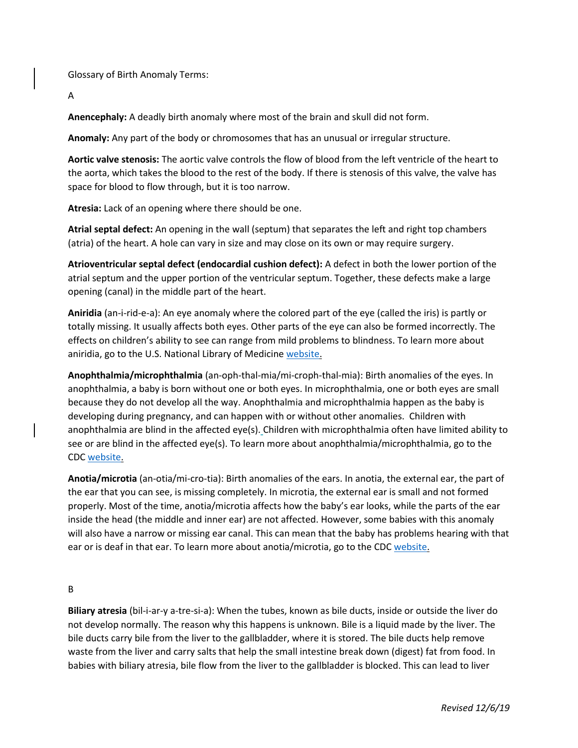Glossary of Birth Anomaly Terms:

A

**Anencephaly:** A deadly birth anomaly where most of the brain and skull did not form.

**Anomaly:** Any part of the body or chromosomes that has an unusual or irregular structure.

**Aortic valve stenosis:** The aortic valve controls the flow of blood from the left ventricle of the heart to the aorta, which takes the blood to the rest of the body. If there is stenosis of this valve, the valve has space for blood to flow through, but it is too narrow.

**Atresia:** Lack of an opening where there should be one.

**Atrial septal defect:** An opening in the wall (septum) that separates the left and right top chambers (atria) of the heart. A hole can vary in size and may close on its own or may require surgery.

**Atrioventricular septal defect (endocardial cushion defect):** A defect in both the lower portion of the atrial septum and the upper portion of the ventricular septum. Together, these defects make a large opening (canal) in the middle part of the heart.

**Aniridia** (an-i-rid-e-a): An eye anomaly where the colored part of the eye (called the iris) is partly or totally missing. It usually affects both eyes. Other parts of the eye can also be formed incorrectly. The effects on children's ability to see can range from mild problems to blindness. To learn more about aniridia, go to the U.S. National Library of Medicine [website.](https://tinyurl.com/z2wp5ya)

**Anophthalmia/microphthalmia** (an-oph-thal-mia/mi-croph-thal-mia): Birth anomalies of the eyes. In anophthalmia, a baby is born without one or both eyes. In microphthalmia, one or both eyes are small because they do not develop all the way. Anophthalmia and microphthalmia happen as the baby is developing during pregnancy, and can happen with or without other anomalies. Children with anophthalmia are blind in the affected eye(s). Children with microphthalmia often have limited ability to see or are blind in the affected eye(s). To learn more about anophthalmia/microphthalmia, go to the CDC [website.](https://tinyurl.com/y8r5za3x)

**Anotia/microtia** (an-otia/mi-cro-tia): Birth anomalies of the ears. In anotia, the external ear, the part of the ear that you can see, is missing completely. In microtia, the external ear is small and not formed properly. Most of the time, anotia/microtia affects how the baby's ear looks, while the parts of the ear inside the head (the middle and inner ear) are not affected. However, some babies with this anomaly will also have a narrow or missing ear canal. This can mean that the baby has problems hearing with that ear or is deaf in that ear. To learn more about anotia/microtia, go to the CDC [website.](https://tinyurl.com/y85fklcm)

### B

**Biliary atresia** (bil-i-ar-y a-tre-si-a): When the tubes, known as bile ducts, inside or outside the liver do not develop normally. The reason why this happens is unknown. Bile is a liquid made by the liver. The bile ducts carry bile from the liver to the gallbladder, where it is stored. The bile ducts help remove waste from the liver and carry salts that help the small intestine break down (digest) fat from food. In babies with biliary atresia, bile flow from the liver to the gallbladder is blocked. This can lead to liver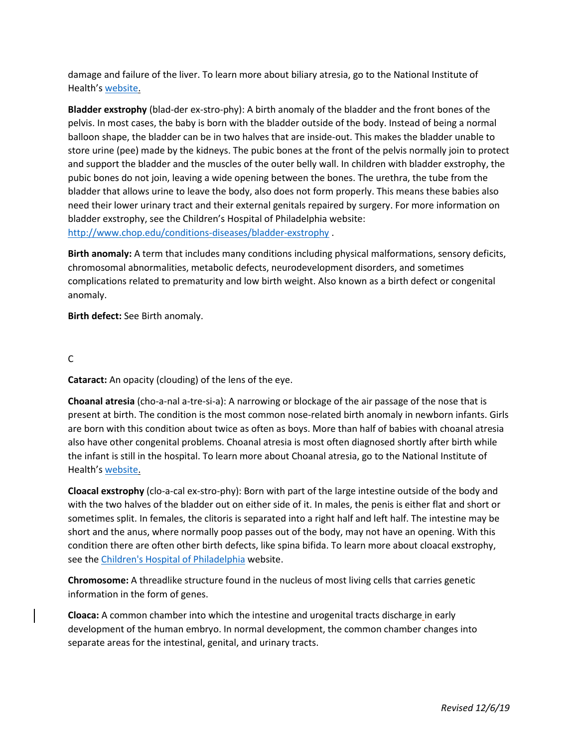damage and failure of the liver. To learn more about biliary atresia, go to the National Institute of Health's [website.](https://tinyurl.com/ybqejrbr)

**Bladder exstrophy** (blad-der ex-stro-phy): A birth anomaly of the bladder and the front bones of the pelvis. In most cases, the baby is born with the bladder outside of the body. Instead of being a normal balloon shape, the bladder can be in two halves that are inside-out. This makes the bladder unable to store urine (pee) made by the kidneys. The pubic bones at the front of the pelvis normally join to protect and support the bladder and the muscles of the outer belly wall. In children with bladder exstrophy, the pubic bones do not join, leaving a wide opening between the bones. The urethra, the tube from the bladder that allows urine to leave the body, also does not form properly. This means these babies also need their lower urinary tract and their external genitals repaired by surgery. For more information on bladder exstrophy, see the Children's Hospital of Philadelphia website: <http://www.chop.edu/conditions-diseases/bladder-exstrophy> .

**Birth anomaly:** A term that includes many conditions including physical malformations, sensory deficits, chromosomal abnormalities, metabolic defects, neurodevelopment disorders, and sometimes complications related to prematurity and low birth weight. Also known as a birth defect or congenital anomaly.

**Birth defect:** See Birth anomaly.

C

**Cataract:** An opacity (clouding) of the lens of the eye.

**Choanal atresia** (cho-a-nal a-tre-si-a): A narrowing or blockage of the air passage of the nose that is present at birth. The condition is the most common nose-related birth anomaly in newborn infants. Girls are born with this condition about twice as often as boys. More than half of babies with choanal atresia also have other congenital problems. Choanal atresia is most often diagnosed shortly after birth while the infant is still in the hospital. To learn more about Choanal atresia, go to the National Institute of Health's [website.](https://tinyurl.com/y7akxha7)

**Cloacal exstrophy** (clo-a-cal ex-stro-phy): Born with part of the large intestine outside of the body and with the two halves of the bladder out on either side of it. In males, the penis is either flat and short or sometimes split. In females, the clitoris is separated into a right half and left half. The intestine may be short and the anus, where normally poop passes out of the body, may not have an opening. With this condition there are often other birth defects, like spina bifida. To learn more about cloacal exstrophy, see the [Children's Hospital of Philadelphia](http://www.chop.edu/conditions-diseases/cloacal-exstrophy) website.

**Chromosome:** A threadlike structure found in the nucleus of most living cells that carries genetic information in the form of genes.

**Cloaca:** A common chamber into which the intestine and urogenital tracts discharge in early development of the human embryo. In normal development, the common chamber changes into separate areas for the intestinal, genital, and urinary tracts.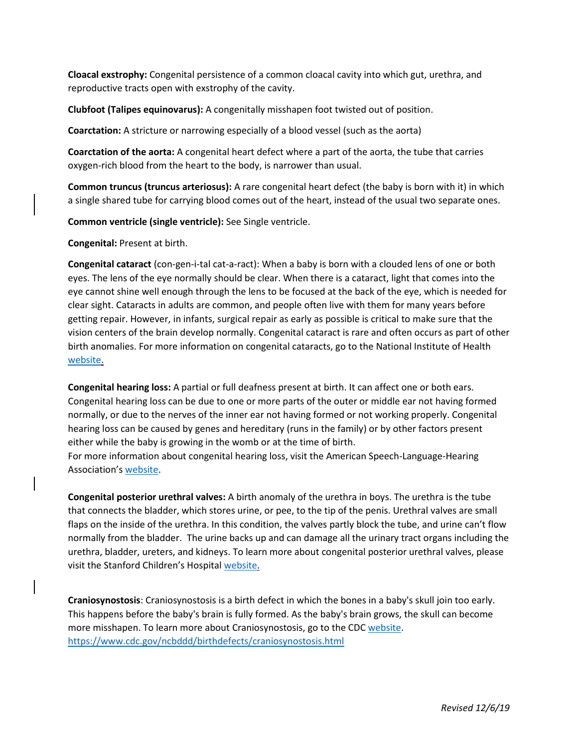**Cloacal exstrophy:** Congenital persistence of a common cloacal cavity into which gut, urethra, and reproductive tracts open with exstrophy of the cavity.

**Clubfoot (Talipes equinovarus):** A congenitally misshapen foot twisted out of position.

**Coarctation:** A stricture or narrowing especially of a blood vessel (such as the aorta)

**Coarctation of the aorta:** A congenital heart defect where a part of the aorta, the tube that carries oxygen-rich blood from the heart to the body, is narrower than usual.

**Common truncus (truncus arteriosus):** A rare congenital heart defect (the baby is born with it) in which a single shared tube for carrying blood comes out of the heart, instead of the usual two separate ones.

**Common ventricle (single ventricle):** See Single ventricle.

**Congenital:** Present at birth.

**Congenital cataract** (con-gen-i-tal cat-a-ract): When a baby is born with a clouded lens of one or both eyes. The lens of the eye normally should be clear. When there is a cataract, light that comes into the eye cannot shine well enough through the lens to be focused at the back of the eye, which is needed for clear sight. Cataracts in adults are common, and people often live with them for many years before getting repair. However, in infants, surgical repair as early as possible is critical to make sure that the vision centers of the brain develop normally. Congenital cataract is rare and often occurs as part of other birth anomalies. For more information on congenital cataracts, go to the National Institute of Health [website.](https://tinyurl.com/ycvjt3qf)

**Congenital hearing loss:** A partial or full deafness present at birth. It can affect one or both ears. Congenital hearing loss can be due to one or more parts of the outer or middle ear not having formed normally, or due to the nerves of the inner ear not having formed or not working properly. Congenital hearing loss can be caused by genes and hereditary (runs in the family) or by other factors present either while the baby is growing in the womb or at the time of birth.

For more information about congenital hearing loss, visit the American Speech-Language-Hearing Association's [website.](https://tinyurl.com/y7rhypsu)

**Congenital posterior urethral valves:** A birth anomaly of the urethra in boys. The urethra is the tube that connects the bladder, which stores urine, or pee, to the tip of the penis. Urethral valves are small flaps on the inside of the urethra. In this condition, the valves partly block the tube, and urine can't flow normally from the bladder. The urine backs up and can damage all the urinary tract organs including the urethra, bladder, ureters, and kidneys. To learn more about congenital posterior urethral valves, please visit the Stanford Children's Hospital [website.](https://tinyurl.com/y7rkyptq)

**Craniosynostosis**: Craniosynostosis is a birth defect in which the bones in a baby's skull join too early. This happens before the baby's brain is fully formed. As the baby's brain grows, the skull can become more misshapen. To learn more about Craniosynostosis, go to the CDC [website.](https://tinyurl.com/ycdlw5xk) <https://www.cdc.gov/ncbddd/birthdefects/craniosynostosis.html>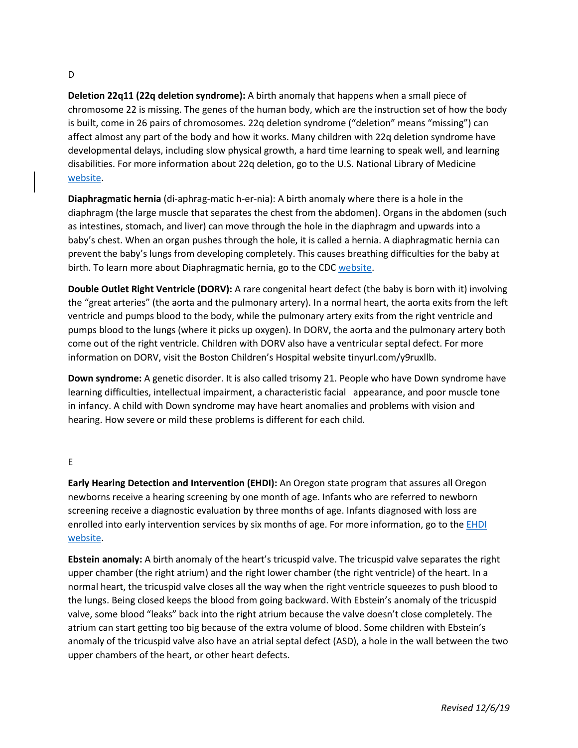#### D

**Deletion 22q11 (22q deletion syndrome):** A birth anomaly that happens when a small piece of chromosome 22 is missing. The genes of the human body, which are the instruction set of how the body is built, come in 26 pairs of chromosomes. 22q deletion syndrome ("deletion" means "missing") can affect almost any part of the body and how it works. Many children with 22q deletion syndrome have developmental delays, including slow physical growth, a hard time learning to speak well, and learning disabilities. For more information about 22q deletion, go to the U.S. National Library of Medicine [website.](https://tinyurl.com/ya7w5opx)

**Diaphragmatic hernia** (di-aphrag-matic h-er-nia): A birth anomaly where there is a hole in the diaphragm (the large muscle that separates the chest from the abdomen). Organs in the abdomen (such as intestines, stomach, and liver) can move through the hole in the diaphragm and upwards into a baby's chest. When an organ pushes through the hole, it is called a hernia. A diaphragmatic hernia can prevent the baby's lungs from developing completely. This causes breathing difficulties for the baby at birth. To learn more about Diaphragmatic hernia, go to the CD[C website.](https://tinyurl.com/ycdlw5xk)

**Double Outlet Right Ventricle (DORV):** A rare congenital heart defect (the baby is born with it) involving the "great arteries" (the aorta and the pulmonary artery). In a normal heart, the aorta exits from the left ventricle and pumps blood to the body, while the pulmonary artery exits from the right ventricle and pumps blood to the lungs (where it picks up oxygen). In DORV, the aorta and the pulmonary artery both come out of the right ventricle. Children with DORV also have a ventricular septal defect. For more information on DORV, visit the Boston Children's Hospital website tinyurl.com/y9ruxllb.

**Down syndrome:** A genetic disorder. It is also called trisomy 21. People who have Down syndrome have learning difficulties, intellectual impairment, a characteristic facial appearance, and poor muscle tone in infancy. A child with Down syndrome may have heart anomalies and problems with vision and hearing. How severe or mild these problems is different for each child.

### E

**Early Hearing Detection and Intervention (EHDI):** An Oregon state program that assures all Oregon newborns receive a hearing screening by one month of age. Infants who are referred to newborn screening receive a diagnostic evaluation by three months of age. Infants diagnosed with loss are enrolled into early intervention services by six months of age. For more information, go to the **EHDI** [website.](https://www.oregon.gov/oha/PH/HEALTHYPEOPLEFAMILIES/Babies/HealthScreening/HearingScreening/Pages/index.aspx)

**Ebstein anomaly:** A birth anomaly of the heart's tricuspid valve. The tricuspid valve separates the right upper chamber (the right atrium) and the right lower chamber (the right ventricle) of the heart. In a normal heart, the tricuspid valve closes all the way when the right ventricle squeezes to push blood to the lungs. Being closed keeps the blood from going backward. With Ebstein's anomaly of the tricuspid valve, some blood "leaks" back into the right atrium because the valve doesn't close completely. The atrium can start getting too big because of the extra volume of blood. Some children with Ebstein's anomaly of the tricuspid valve also have an atrial septal defect (ASD), a hole in the wall between the two upper chambers of the heart, or other heart defects.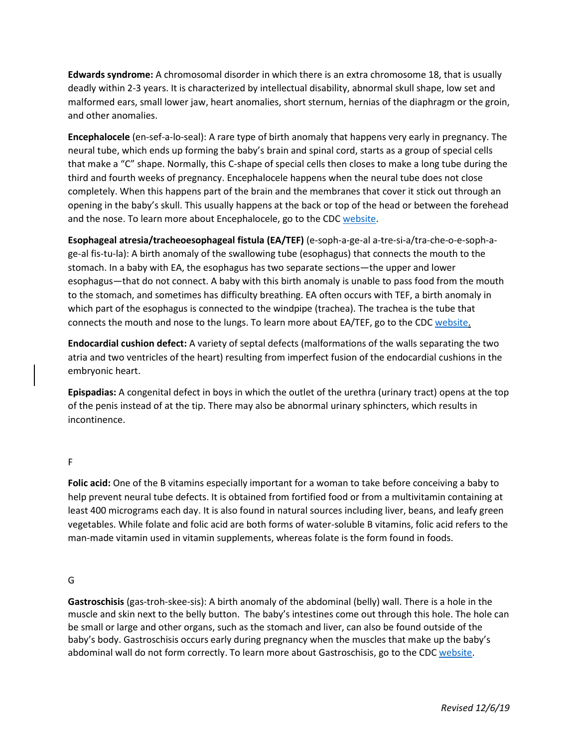**Edwards syndrome:** A chromosomal disorder in which there is an extra chromosome 18, that is usually deadly within 2-3 years. It is characterized by intellectual disability, abnormal skull shape, low set and malformed ears, small lower jaw, heart anomalies, short sternum, hernias of the diaphragm or the groin, and other anomalies.

**Encephalocele** (en-sef-a-lo-seal): A rare type of birth anomaly that happens very early in pregnancy. The neural tube, which ends up forming the baby's brain and spinal cord, starts as a group of special cells that make a "C" shape. Normally, this C-shape of special cells then closes to make a long tube during the third and fourth weeks of pregnancy. Encephalocele happens when the neural tube does not close completely. When this happens part of the brain and the membranes that cover it stick out through an opening in the baby's skull. This usually happens at the back or top of the head or between the forehead and the nose. To learn more about Encephalocele, go to the CDC [website.](https://tinyurl.com/y9cv3huy)

**Esophageal atresia/tracheoesophageal fistula (EA/TEF)** (e-soph-a-ge-al a-tre-si-a/tra-che-o-e-soph-age-al fis-tu-la): A birth anomaly of the swallowing tube (esophagus) that connects the mouth to the stomach. In a baby with EA, the esophagus has two separate sections—the upper and lower esophagus—that do not connect. A baby with this birth anomaly is unable to pass food from the mouth to the stomach, and sometimes has difficulty breathing. EA often occurs with TEF, a birth anomaly in which part of the esophagus is connected to the windpipe (trachea). The trachea is the tube that connects the mouth and nose to the lungs. To learn more about EA/TEF, go to the CDC [website.](https://tinyurl.com/yd87aqjk)

**Endocardial cushion defect:** A variety of septal defects (malformations of the walls separating the two atria and two ventricles of the heart) resulting from imperfect fusion of the endocardial cushions in the embryonic heart.

**Epispadias:** A congenital defect in boys in which the outlet of the urethra (urinary tract) opens at the top of the penis instead of at the tip. There may also be abnormal urinary sphincters, which results in incontinence.

F

**Folic acid:** One of the B vitamins especially important for a woman to take before conceiving a baby to help prevent neural tube defects. It is obtained from fortified food or from a multivitamin containing at least 400 micrograms each day. It is also found in natural sources including liver, beans, and leafy green vegetables. While folate and folic acid are both forms of water-soluble B vitamins, folic acid refers to the man-made vitamin used in vitamin supplements, whereas folate is the form found in foods.

### G

**Gastroschisis** (gas-troh-skee-sis): A birth anomaly of the abdominal (belly) wall. There is a hole in the muscle and skin next to the belly button. The baby's intestines come out through this hole. The hole can be small or large and other organs, such as the stomach and liver, can also be found outside of the baby's body. Gastroschisis occurs early during pregnancy when the muscles that make up the baby's abdominal wall do not form correctly. To learn more about Gastroschisis, go to the CDC [website.](https://tinyurl.com/lfb7rm8)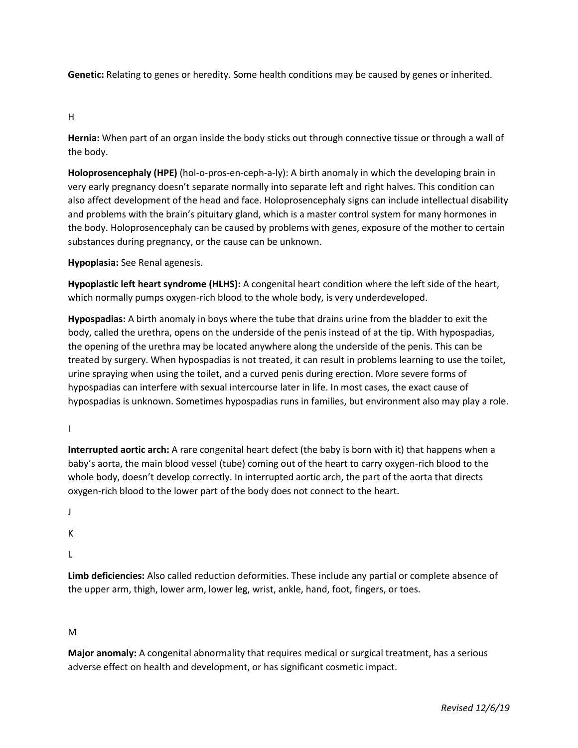**Genetic:** Relating to genes or heredity. Some health conditions may be caused by genes or inherited.

H

**Hernia:** When part of an organ inside the body sticks out through connective tissue or through a wall of the body.

**Holoprosencephaly (HPE)** (hol-o-pros-en-ceph-a-ly): A birth anomaly in which the developing brain in very early pregnancy doesn't separate normally into separate left and right halves. This condition can also affect development of the head and face. Holoprosencephaly signs can include intellectual disability and problems with the brain's pituitary gland, which is a master control system for many hormones in the body. Holoprosencephaly can be caused by problems with genes, exposure of the mother to certain substances during pregnancy, or the cause can be unknown.

**Hypoplasia:** See Renal agenesis.

**Hypoplastic left heart syndrome (HLHS):** A congenital heart condition where the left side of the heart, which normally pumps oxygen-rich blood to the whole body, is very underdeveloped.

**Hypospadias:** A birth anomaly in boys where the tube that drains urine from the bladder to exit the body, called the urethra, opens on the underside of the penis instead of at the tip. With hypospadias, the opening of the urethra may be located anywhere along the underside of the penis. This can be treated by surgery. When hypospadias is not treated, it can result in problems learning to use the toilet, urine spraying when using the toilet, and a curved penis during erection. More severe forms of hypospadias can interfere with sexual intercourse later in life. In most cases, the exact cause of hypospadias is unknown. Sometimes hypospadias runs in families, but environment also may play a role.

I

**Interrupted aortic arch:** A rare congenital heart defect (the baby is born with it) that happens when a baby's aorta, the main blood vessel (tube) coming out of the heart to carry oxygen-rich blood to the whole body, doesn't develop correctly. In interrupted aortic arch, the part of the aorta that directs oxygen-rich blood to the lower part of the body does not connect to the heart.

J

K

L

**Limb deficiencies:** Also called reduction deformities. These include any partial or complete absence of the upper arm, thigh, lower arm, lower leg, wrist, ankle, hand, foot, fingers, or toes.

M

**Major anomaly:** A congenital abnormality that requires medical or surgical treatment, has a serious adverse effect on health and development, or has significant cosmetic impact.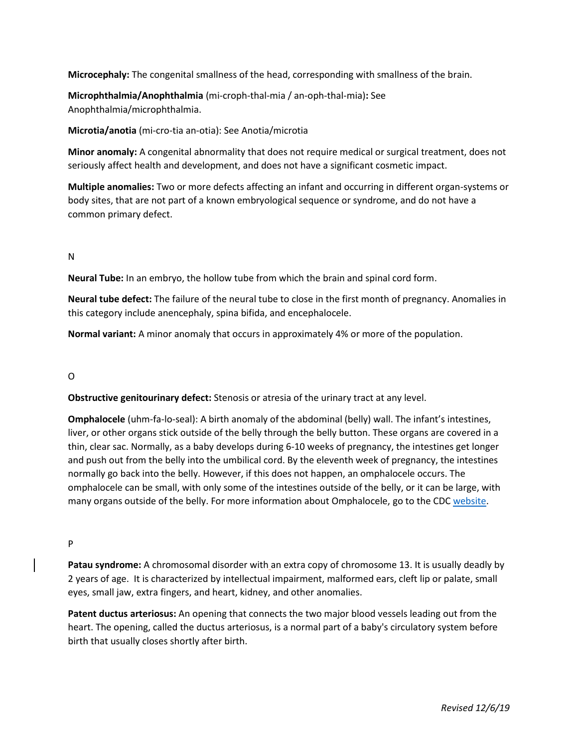**Microcephaly:** The congenital smallness of the head, corresponding with smallness of the brain.

**Microphthalmia/Anophthalmia** (mi-croph-thal-mia / an-oph-thal-mia)**:** See Anophthalmia/microphthalmia.

**Microtia/anotia** (mi-cro-tia an-otia): See Anotia/microtia

**Minor anomaly:** A congenital abnormality that does not require medical or surgical treatment, does not seriously affect health and development, and does not have a significant cosmetic impact.

**Multiple anomalies:** Two or more defects affecting an infant and occurring in different organ-systems or body sites, that are not part of a known embryological sequence or syndrome, and do not have a common primary defect.

## N

**Neural Tube:** In an embryo, the hollow tube from which the brain and spinal cord form.

**Neural tube defect:** The failure of the neural tube to close in the first month of pregnancy. Anomalies in this category include anencephaly, spina bifida, and encephalocele.

**Normal variant:** A minor anomaly that occurs in approximately 4% or more of the population.

# O

**Obstructive genitourinary defect:** Stenosis or atresia of the urinary tract at any level.

**Omphalocele** (uhm-fa-lo-seal): A birth anomaly of the abdominal (belly) wall. The infant's intestines, liver, or other organs stick outside of the belly through the belly button. These organs are covered in a thin, clear sac. Normally, as a baby develops during 6-10 weeks of pregnancy, the intestines get longer and push out from the belly into the umbilical cord. By the eleventh week of pregnancy, the intestines normally go back into the belly. However, if this does not happen, an omphalocele occurs. The omphalocele can be small, with only some of the intestines outside of the belly, or it can be large, with many organs outside of the belly. For more information about Omphalocele, go to the CDC [website.](https://tinyurl.com/k5dwrcz)

### P

**Patau syndrome:** A chromosomal disorder with an extra copy of chromosome 13. It is usually deadly by 2 years of age. It is characterized by intellectual impairment, malformed ears, cleft lip or palate, small eyes, small jaw, extra fingers, and heart, kidney, and other anomalies.

**Patent ductus arteriosus:** An opening that connects the two major blood vessels leading out from the heart. The opening, called the ductus arteriosus, is a normal part of a baby's circulatory system before birth that usually closes shortly after birth.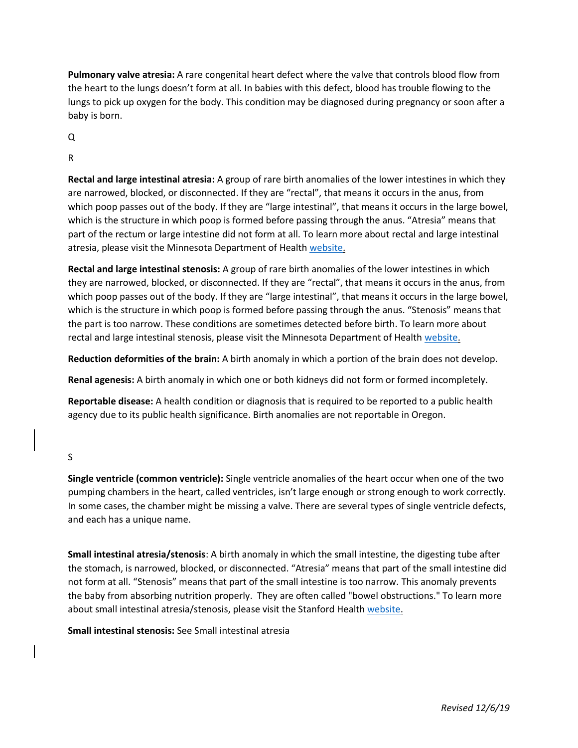**Pulmonary valve atresia:** A rare congenital heart defect where the valve that controls blood flow from the heart to the lungs doesn't form at all. In babies with this defect, blood has trouble flowing to the lungs to pick up oxygen for the body. This condition may be diagnosed during pregnancy or soon after a baby is born.

Q

R

**Rectal and large intestinal atresia:** A group of rare birth anomalies of the lower intestines in which they are narrowed, blocked, or disconnected. If they are "rectal", that means it occurs in the anus, from which poop passes out of the body. If they are "large intestinal", that means it occurs in the large bowel, which is the structure in which poop is formed before passing through the anus. "Atresia" means that part of the rectum or large intestine did not form at all. To learn more about rectal and large intestinal atresia, please visit the Minnesota Department of Health [website.](https://tinyurl.com/y9ljkhtk)

**Rectal and large intestinal stenosis:** A group of rare birth anomalies of the lower intestines in which they are narrowed, blocked, or disconnected. If they are "rectal", that means it occurs in the anus, from which poop passes out of the body. If they are "large intestinal", that means it occurs in the large bowel, which is the structure in which poop is formed before passing through the anus. "Stenosis" means that the part is too narrow. These conditions are sometimes detected before birth. To learn more about rectal and large intestinal stenosis, please visit the Minnesota Department of Health [website.](https://tinyurl.com/y9ljkhtk)

**Reduction deformities of the brain:** A birth anomaly in which a portion of the brain does not develop.

**Renal agenesis:** A birth anomaly in which one or both kidneys did not form or formed incompletely.

**Reportable disease:** A health condition or diagnosis that is required to be reported to a public health agency due to its public health significance. Birth anomalies are not reportable in Oregon.

S

**Single ventricle (common ventricle):** Single ventricle anomalies of the heart occur when one of the two pumping chambers in the heart, called ventricles, isn't large enough or strong enough to work correctly. In some cases, the chamber might be missing a valve. There are several types of single ventricle defects, and each has a unique name.

**Small intestinal atresia/stenosis**: A birth anomaly in which the small intestine, the digesting tube after the stomach, is narrowed, blocked, or disconnected. "Atresia" means that part of the small intestine did not form at all. "Stenosis" means that part of the small intestine is too narrow. This anomaly prevents the baby from absorbing nutrition properly. They are often called "bowel obstructions." To learn more about small intestinal atresia/stenosis, please visit the Stanford Health [website.](https://tinyurl.com/yczrkhqf)

**Small intestinal stenosis:** See Small intestinal atresia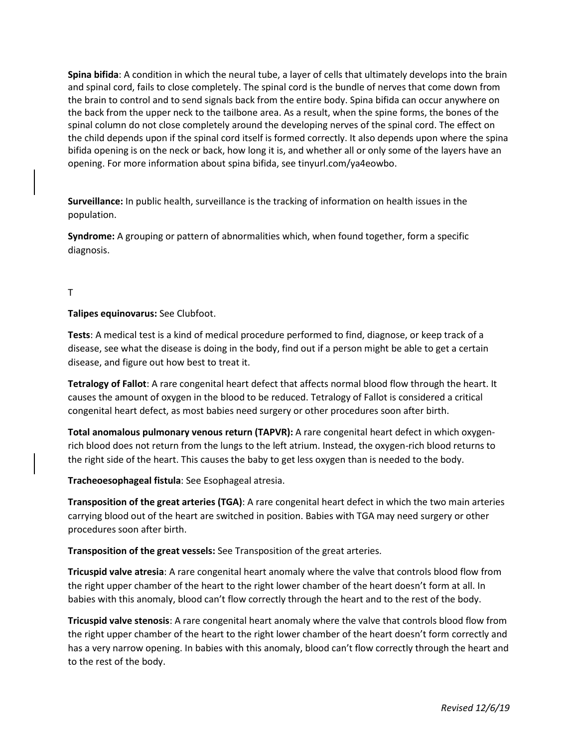**Spina bifida**: A condition in which the neural tube, a layer of cells that ultimately develops into the brain and spinal cord, fails to close completely. The spinal cord is the bundle of nerves that come down from the brain to control and to send signals back from the entire body. Spina bifida can occur anywhere on the back from the upper neck to the tailbone area. As a result, when the spine forms, the bones of the spinal column do not close completely around the developing nerves of the spinal cord. The effect on the child depends upon if the spinal cord itself is formed correctly. It also depends upon where the spina bifida opening is on the neck or back, how long it is, and whether all or only some of the layers have an opening. For more information about spina bifida, see tinyurl.com/ya4eowbo.

**Surveillance:** In public health, surveillance is the tracking of information on health issues in the population.

**Syndrome:** A grouping or pattern of abnormalities which, when found together, form a specific diagnosis.

#### T

**Talipes equinovarus:** See Clubfoot.

**Tests**: A medical test is a kind of [medical procedure](https://en.wikipedia.org/wiki/Medical_procedure) performed to find, [diagnose,](https://en.wikipedia.org/wiki/Medical_diagnosis) or keep track of a disease, see what the disease is doing in the body, find out if a person might be able to get a certain disease, and figure out how best to treat it.

**Tetralogy of Fallot**: A rare congenital heart defect that affects normal blood flow through the heart. It causes the amount of oxygen in the blood to be reduced. Tetralogy of Fallot is considered a critical congenital heart defect, as most babies need surgery or other procedures soon after birth.

**Total anomalous pulmonary venous return (TAPVR):** A rare congenital heart defect in which oxygenrich blood does not return from the lungs to the left atrium. Instead, the oxygen-rich blood returns to the right side of the heart. This causes the baby to get less oxygen than is needed to the body.

**Tracheoesophageal fistula**: See Esophageal atresia.

**Transposition of the great arteries (TGA)**: A rare congenital heart defect in which the two main arteries carrying blood out of the heart are switched in position. Babies with TGA may need surgery or other procedures soon after birth.

**Transposition of the great vessels:** See Transposition of the great arteries.

**Tricuspid valve atresia**: A rare congenital heart anomaly where the valve that controls blood flow from the right upper chamber of the heart to the right lower chamber of the heart doesn't form at all. In babies with this anomaly, blood can't flow correctly through the heart and to the rest of the body.

**Tricuspid valve stenosis**: A rare congenital heart anomaly where the valve that controls blood flow from the right upper chamber of the heart to the right lower chamber of the heart doesn't form correctly and has a very narrow opening. In babies with this anomaly, blood can't flow correctly through the heart and to the rest of the body.